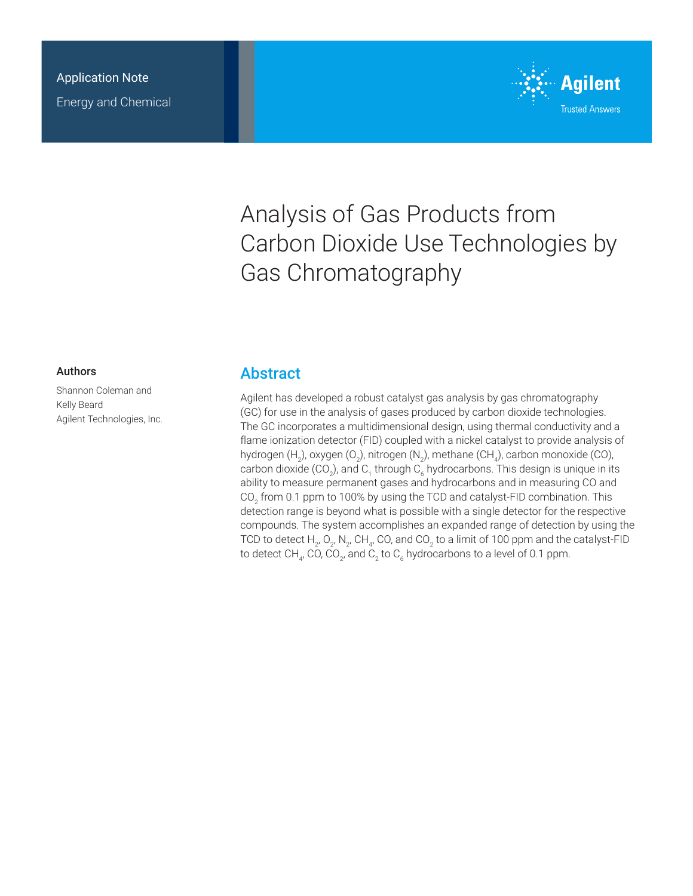

# Analysis of Gas Products from Carbon Dioxide Use Technologies by Gas Chromatography

#### Authors

Shannon Coleman and Kelly Beard Agilent Technologies, Inc.

### **Abstract**

Agilent has developed a robust catalyst gas analysis by gas chromatography (GC) for use in the analysis of gases produced by carbon dioxide technologies. The GC incorporates a multidimensional design, using thermal conductivity and a flame ionization detector (FID) coupled with a nickel catalyst to provide analysis of hydrogen (H<sub>2</sub>), oxygen (O<sub>2</sub>), nitrogen (N<sub>2</sub>), methane (CH<sub>4</sub>), carbon monoxide (CO), carbon dioxide (CO<sub>2</sub>), and C<sub>1</sub> through C<sub>6</sub> hydrocarbons. This design is unique in its ability to measure permanent gases and hydrocarbons and in measuring CO and CO<sub>2</sub> from 0.1 ppm to 100% by using the TCD and catalyst-FID combination. This detection range is beyond what is possible with a single detector for the respective compounds. The system accomplishes an expanded range of detection by using the TCD to detect  $\mathsf{H}_2$ , O<sub>2</sub>, N<sub>2</sub>, CH<sub>4</sub>, CO, and CO<sub>2</sub> to a limit of 100 ppm and the catalyst-FID to detect CH $_{\scriptscriptstyle{4'}}$  CO, CO $_{\scriptscriptstyle{2'}}$  and C $_{\scriptscriptstyle{2}}$  to C $_{\scriptscriptstyle{6}}$  hydrocarbons to a level of 0.1 ppm.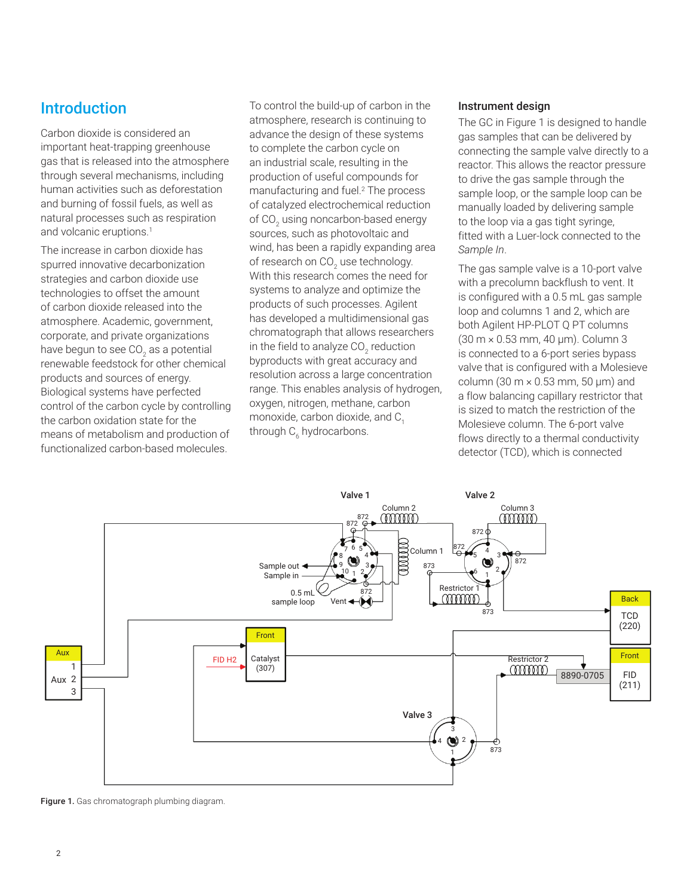## **Introduction**

Carbon dioxide is considered an important heat-trapping greenhouse gas that is released into the atmosphere through several mechanisms, including human activities such as deforestation and burning of fossil fuels, as well as natural processes such as respiration and volcanic eruptions.<sup>1</sup>

The increase in carbon dioxide has spurred innovative decarbonization strategies and carbon dioxide use technologies to offset the amount of carbon dioxide released into the atmosphere. Academic, government, corporate, and private organizations have begun to see CO<sub>2</sub> as a potential renewable feedstock for other chemical products and sources of energy. Biological systems have perfected control of the carbon cycle by controlling the carbon oxidation state for the means of metabolism and production of functionalized carbon-based molecules.

To control the build-up of carbon in the atmosphere, research is continuing to advance the design of these systems to complete the carbon cycle on an industrial scale, resulting in the production of useful compounds for manufacturing and fuel.<sup>2</sup> The process of catalyzed electrochemical reduction of CO $_{\textrm{\tiny{2}}}$  using noncarbon-based energy sources, such as photovoltaic and wind, has been a rapidly expanding area of research on CO $_{\textrm{\tiny{2}}}$  use technology. With this research comes the need for systems to analyze and optimize the products of such processes. Agilent has developed a multidimensional gas chromatograph that allows researchers in the field to analyze CO<sub>2</sub> reduction byproducts with great accuracy and resolution across a large concentration range. This enables analysis of hydrogen, oxygen, nitrogen, methane, carbon monoxide, carbon dioxide, and  $C<sub>1</sub>$ through C<sub>6</sub> hydrocarbons.

#### Instrument design

The GC in Figure 1 is designed to handle gas samples that can be delivered by connecting the sample valve directly to a reactor. This allows the reactor pressure to drive the gas sample through the sample loop, or the sample loop can be manually loaded by delivering sample to the loop via a gas tight syringe, fitted with a Luer-lock connected to the *Sample In*.

The gas sample valve is a 10-port valve with a precolumn backflush to vent. It is configured with a 0.5 mL gas sample loop and columns 1 and 2, which are both Agilent HP-PLOT Q PT columns (30 m × 0.53 mm, 40 µm). Column 3 is connected to a 6-port series bypass valve that is configured with a Molesieve column (30  $m \times 0.53$  mm, 50  $\mu$ m) and a flow balancing capillary restrictor that is sized to match the restriction of the Molesieve column. The 6-port valve flows directly to a thermal conductivity detector (TCD), which is connected



Figure 1. Gas chromatograph plumbing diagram.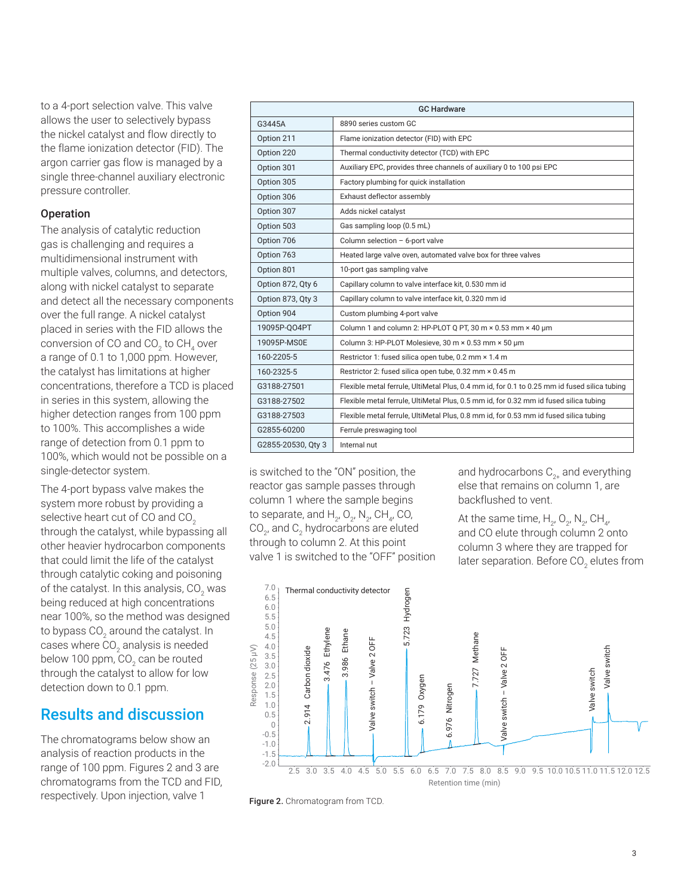to a 4-port selection valve. This valve allows the user to selectively bypass the nickel catalyst and flow directly to the flame ionization detector (FID). The argon carrier gas flow is managed by a single three-channel auxiliary electronic pressure controller.

#### **Operation**

The analysis of catalytic reduction gas is challenging and requires a multidimensional instrument with multiple valves, columns, and detectors, along with nickel catalyst to separate and detect all the necessary components over the full range. A nickel catalyst placed in series with the FID allows the conversion of CO and CO $_2$  to CH $_4$  over a range of 0.1 to 1,000 ppm. However, the catalyst has limitations at higher concentrations, therefore a TCD is placed in series in this system, allowing the higher detection ranges from 100 ppm to 100%. This accomplishes a wide range of detection from 0.1 ppm to 100%, which would not be possible on a single-detector system.

The 4-port bypass valve makes the system more robust by providing a selective heart cut of CO and CO<sub>2</sub> through the catalyst, while bypassing all other heavier hydrocarbon components that could limit the life of the catalyst through catalytic coking and poisoning of the catalyst. In this analysis, CO $_{\rm 2}$  was being reduced at high concentrations near 100%, so the method was designed to bypass CO $_{\textrm{\tiny{2}}}$  around the catalyst. In cases where CO $_{\textrm{\tiny{2}}}$  analysis is needed below 100 ppm, CO<sub>2</sub> can be routed through the catalyst to allow for low detection down to 0.1 ppm.

# Results and discussion

The chromatograms below show an analysis of reaction products in the range of 100 ppm. Figures 2 and 3 are chromatograms from the TCD and FID, respectively. Upon injection, valve 1

| <b>GC Hardware</b> |                                                                                              |
|--------------------|----------------------------------------------------------------------------------------------|
| G3445A             | 8890 series custom GC                                                                        |
| Option 211         | Flame ionization detector (FID) with EPC                                                     |
| Option 220         | Thermal conductivity detector (TCD) with EPC                                                 |
| Option 301         | Auxiliary EPC, provides three channels of auxiliary 0 to 100 psi EPC                         |
| Option 305         | Factory plumbing for quick installation                                                      |
| Option 306         | Exhaust deflector assembly                                                                   |
| Option 307         | Adds nickel catalyst                                                                         |
| Option 503         | Gas sampling loop (0.5 mL)                                                                   |
| Option 706         | Column selection - 6-port valve                                                              |
| Option 763         | Heated large valve oven, automated valve box for three valves                                |
| Option 801         | 10-port gas sampling valve                                                                   |
| Option 872, Qty 6  | Capillary column to valve interface kit, 0.530 mm id                                         |
| Option 873, Qty 3  | Capillary column to valve interface kit, 0.320 mm id                                         |
| Option 904         | Custom plumbing 4-port valve                                                                 |
| 19095P-QO4PT       | Column 1 and column 2: HP-PLOT Q PT, 30 m × 0.53 mm × 40 um                                  |
| 19095P-MS0E        | Column 3: HP-PLOT Molesieve, 30 m × 0.53 mm × 50 um                                          |
| 160-2205-5         | Restrictor 1: fused silica open tube, 0.2 mm × 1.4 m                                         |
| 160-2325-5         | Restrictor 2: fused silica open tube, 0.32 mm × 0.45 m                                       |
| G3188-27501        | Flexible metal ferrule, UltiMetal Plus, 0.4 mm id, for 0.1 to 0.25 mm id fused silica tubing |
| G3188-27502        | Flexible metal ferrule, UltiMetal Plus, 0.5 mm id, for 0.32 mm id fused silica tubing        |
| G3188-27503        | Flexible metal ferrule, UltiMetal Plus, 0.8 mm id, for 0.53 mm id fused silica tubing        |
| G2855-60200        | Ferrule preswaging tool                                                                      |
| G2855-20530, Qty 3 | Internal nut                                                                                 |

is switched to the "ON" position, the reactor gas sample passes through column 1 where the sample begins to separate, and  $H_{2}$ , O<sub>2</sub>, N<sub>2</sub>, CH<sub>4</sub>, CO, CO<sub>2</sub>, and C<sub>2</sub> hydrocarbons are eluted through to column 2. At this point valve 1 is switched to the "OFF" position and hydrocarbons  $C_{2+}$  and everything else that remains on column 1, are backflushed to vent.

At the same time,  $H_{2}$ ,  $O_{2}$ ,  $N_{2}$ , C $H_{4}$ , and CO elute through column 2 onto column 3 where they are trapped for later separation. Before CO<sub>2</sub> elutes from